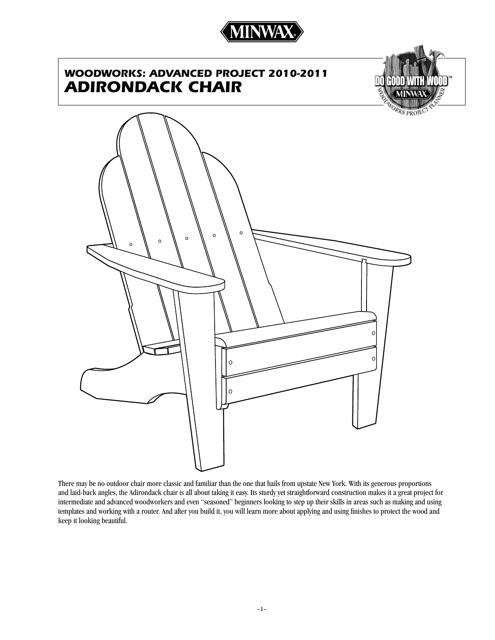

# *WOODWORKS: advanced project 2010-2011 adirondack chair*



KS PROJ  $\circ$  $\circ$  $\circ$  $\circ$  $\circ$ 

There may be no outdoor chair more classic and familiar than the one that hails from upstate New York. With its generous proportions and laid-back angles, the Adirondack chair is all about taking it easy. Its sturdy yet straightforward construction makes it a great project for intermediate and advanced woodworkers and even "seasoned" beginners looking to step up their skills in areas such as making and using templates and working with a router. And after you build it, you will learn more about applying and using finishes to protect the wood and keep it looking beautiful.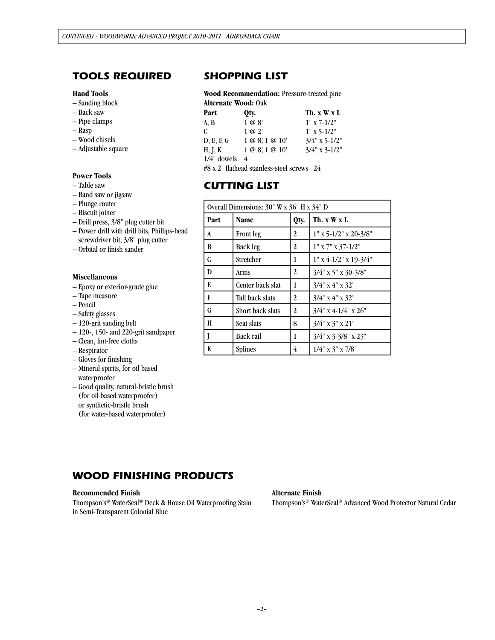## *tools required*

#### **Hand Tools**

- Sanding block
- Back saw
- Pipe clamps
- Rasp
- Wood chisels
- Adjustable square

### **Power Tools**

- Table saw
- Band saw or jigsaw
- Plunge router
- Biscuit joiner
- Drill press, 3/8" plug cutter bit
- Power drill with drill bits, Phillips-head screwdriver bit, 3/8" plug cutter
- Orbital or finish sander

#### **Miscellaneous**

- Epoxy or exterior-grade glue
- Tape measure
- Pencil
- Safety glasses
- 120-grit sanding belt
- 120-, 150- and 220-grit sandpaper
- Clean, lint-free cloths
- Respirator
- Gloves for finishing
- Mineral spirits, for oil based waterproofer
- Good quality, natural-bristle brush (for oil based waterproofer) or synthetic-bristle brush (for water-based waterproofer)

## *SHOPPING LIST*

**Wood Recommendation:** Pressure-treated pine **Alternate Wood:** Oak

| Part           | Qty.                 | Th. x W x L        |
|----------------|----------------------|--------------------|
| A, B           | 1 @ 8'               | $1" x 7-1/2"$      |
| C.             | $1 \omega 2'$        | $1" \times 5-1/2"$ |
| D, E, F, G     | $1 @ 8'$ , $1 @ 10'$ | $3/4$ " x 5-1/2"   |
| H, J, K        | 1 @ 8, 1 @ 10'       | $3/4$ " x 3-1/2"   |
| $1/4$ " dowels |                      |                    |

#8 x 2" flathead stainless-steel screws 24

## *cutting list*

| Overall Dimensions: 30" W x 36" H x 34" D |                  |      |                                 |
|-------------------------------------------|------------------|------|---------------------------------|
| Part                                      | <b>Name</b>      | Qty. | Th. $x \mathbf{W} x \mathbf{L}$ |
| A                                         | <b>Front</b> leg | 2    | $1''$ x 5-1/2" x 20-3/8"        |
| B                                         | <b>Back leg</b>  | 2    | $1" x 7" x 37-1/2"$             |
| C                                         | Stretcher        | 1    | $1" x 4-1/2" x 19-3/4"$         |
| D                                         | Arms             | 2    | $3/4$ " x 5" x 30-3/8"          |
| E                                         | Center back slat | 1    | $3/4$ " x $4$ " x $32$ "        |
| F                                         | Tall back slats  | 2    | $3/4$ " x $4$ " x $32$ "        |
| G                                         | Short back slats | 2    | $3/4$ " x 4-1/4" x 26"          |
| H                                         | Seat slats       | 8    | $3/4$ " x 3" x 21"              |
| J                                         | Back rail        | 1    | $3/4$ " x 3-3/8" x 23"          |
| K                                         | <b>Splines</b>   | 4    | $1/4$ " x $3$ " x $7/8$ "       |

## *WOOD FINISHING PRODUCTS*

### **Recommended Finish**

Thompson's® WaterSeal® Deck & House Oil Waterproofing Stain in Semi-Transparent Colonial Blue

### **Alternate Finish**

Thompson's® WaterSeal® Advanced Wood Protector Natural Cedar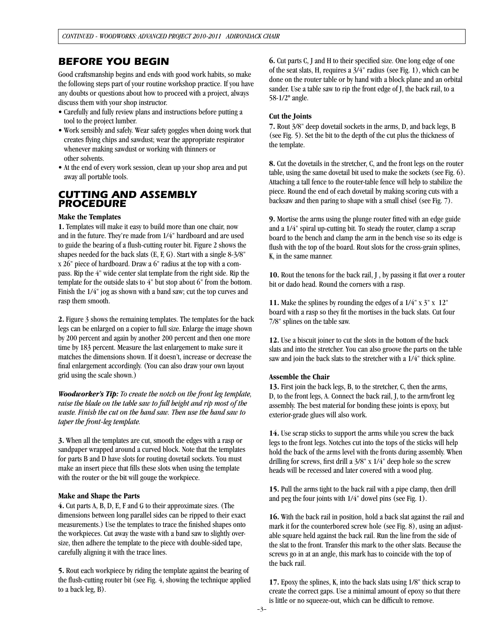## *Before you begin*

Good craftsmanship begins and ends with good work habits, so make the following steps part of your routine workshop practice. If you have any doubts or questions about how to proceed with a project, always discuss them with your shop instructor.

- Carefully and fully review plans and instructions before putting a tool to the project lumber.
- Work sensibly and safely. Wear safety goggles when doing work that creates flying chips and sawdust; wear the appropriate respirator whenever making sawdust or working with thinners or other solvents.
- At the end of every work session, clean up your shop area and put away all portable tools.

## *CUTTING AND ASSEMBLY PROCEDURE*

### **Make the Templates**

**1.** Templates will make it easy to build more than one chair, now and in the future. They're made from 1/4" hardboard and are used to guide the bearing of a flush-cutting router bit. Figure 2 shows the shapes needed for the back slats (E, F, G). Start with a single 8-3/8" x 26" piece of hardboard. Draw a 6" radius at the top with a compass. Rip the 4" wide center slat template from the right side. Rip the template for the outside slats to 4" but stop about 6" from the bottom. Finish the 1/4" jog as shown with a band saw; cut the top curves and rasp them smooth.

**2.** Figure 3 shows the remaining templates. The templates for the back legs can be enlarged on a copier to full size. Enlarge the image shown by 200 percent and again by another 200 percent and then one more time by 183 percent. Measure the last enlargement to make sure it matches the dimensions shown. If it doesn't, increase or decrease the final enlargement accordingly. (You can also draw your own layout grid using the scale shown.)

*Woodworker's Tip: To create the notch on the front leg template, raise the blade on the table saw to full height and rip most of the waste. Finish the cut on the band saw. Then use the band saw to taper the front-leg template.*

**3.** When all the templates are cut, smooth the edges with a rasp or sandpaper wrapped around a curved block. Note that the templates for parts B and D have slots for routing dovetail sockets. You must make an insert piece that fills these slots when using the template with the router or the bit will gouge the workpiece.

### **Make and Shape the Parts**

**4.** Cut parts A, B, D, E, F and G to their approximate sizes. (The dimensions between long parallel sides can be ripped to their exact measurements.) Use the templates to trace the finished shapes onto the workpieces. Cut away the waste with a band saw to slightly oversize, then adhere the template to the piece with double-sided tape, carefully aligning it with the trace lines.

**5.** Rout each workpiece by riding the template against the bearing of the flush-cutting router bit (see Fig. 4, showing the technique applied to a back leg, B).

**6.** Cut parts C, J and H to their specified size. One long edge of one of the seat slats, H, requires a 3/4" radius (see Fig. 1), which can be done on the router table or by hand with a block plane and an orbital sander. Use a table saw to rip the front edge of J, the back rail, to a 58-1/2º angle.

## **Cut the Joints**

**7.** Rout 3/8" deep dovetail sockets in the arms, D, and back legs, B (see Fig. 5). Set the bit to the depth of the cut plus the thickness of the template.

**8.** Cut the dovetails in the stretcher, C, and the front legs on the router table, using the same dovetail bit used to make the sockets (see Fig. 6). Attaching a tall fence to the router-table fence will help to stabilize the piece. Round the end of each dovetail by making scoring cuts with a backsaw and then paring to shape with a small chisel (see Fig. 7).

**9.** Mortise the arms using the plunge router fitted with an edge guide and a 1/4" spiral up-cutting bit. To steady the router, clamp a scrap board to the bench and clamp the arm in the bench vise so its edge is flush with the top of the board. Rout slots for the cross-grain splines, K, in the same manner.

**10.** Rout the tenons for the back rail, J , by passing it flat over a router bit or dado head. Round the corners with a rasp.

**11.** Make the splines by rounding the edges of a 1/4" x 3" x 12" board with a rasp so they fit the mortises in the back slats. Cut four 7/8" splines on the table saw.

**12.** Use a biscuit joiner to cut the slots in the bottom of the back slats and into the stretcher. You can also groove the parts on the table saw and join the back slats to the stretcher with a 1/4" thick spline.

## **Assemble the Chair**

**13.** First join the back legs, B, to the stretcher, C, then the arms, D, to the front legs, A. Connect the back rail, J, to the arm/front leg assembly. The best material for bonding these joints is epoxy, but exterior-grade glues will also work.

**14.** Use scrap sticks to support the arms while you screw the back legs to the front legs. Notches cut into the tops of the sticks will help hold the back of the arms level with the fronts during assembly. When drilling for screws, first drill a 3/8" x 1/4" deep hole so the screw heads will be recessed and later covered with a wood plug.

**15.** Pull the arms tight to the back rail with a pipe clamp, then drill and peg the four joints with 1/4" dowel pins (see Fig. 1).

**16.** With the back rail in position, hold a back slat against the rail and mark it for the counterbored screw hole (see Fig. 8), using an adjustable square held against the back rail. Run the line from the side of the slat to the front. Transfer this mark to the other slats. Because the screws go in at an angle, this mark has to coincide with the top of the back rail.

**17.** Epoxy the splines, K, into the back slats using 1/8" thick scrap to create the correct gaps. Use a minimal amount of epoxy so that there is little or no squeeze-out, which can be difficult to remove.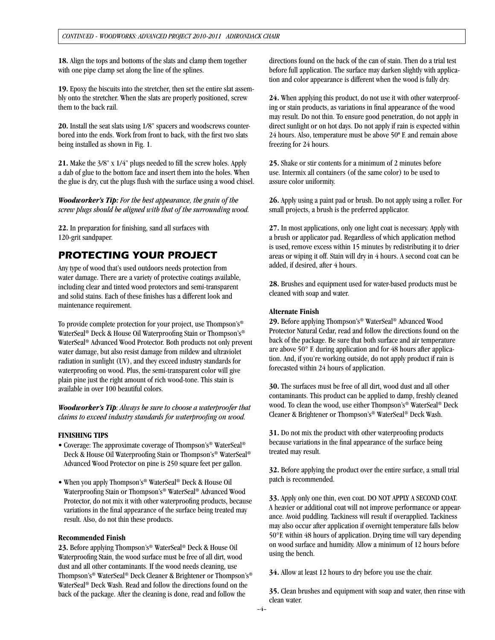**18.** Align the tops and bottoms of the slats and clamp them together with one pipe clamp set along the line of the splines.

**19.** Epoxy the biscuits into the stretcher, then set the entire slat assembly onto the stretcher. When the slats are properly positioned, screw them to the back rail.

**20.** Install the seat slats using 1/8" spacers and woodscrews counterbored into the ends. Work from front to back, with the first two slats being installed as shown in Fig. 1.

**21.** Make the 3/8" x 1/4" plugs needed to fill the screw holes. Apply a dab of glue to the bottom face and insert them into the holes. When the glue is dry, cut the plugs flush with the surface using a wood chisel.

*Woodworker's Tip: For the best appearance, the grain of the screw plugs should be aligned with that of the surrounding wood.*

**22.** In preparation for finishing, sand all surfaces with 120-grit sandpaper.

## *PROTECTING YOUR PROJECT*

Any type of wood that's used outdoors needs protection from water damage. There are a variety of protective coatings available, including clear and tinted wood protectors and semi-transparent and solid stains. Each of these finishes has a different look and maintenance requirement.

To provide complete protection for your project, use Thompson's® WaterSeal® Deck & House Oil Waterproofing Stain or Thompson's® WaterSeal® Advanced Wood Protector. Both products not only prevent water damage, but also resist damage from mildew and ultraviolet radiation in sunlight (UV), and they exceed industry standards for waterproofing on wood. Plus, the semi-transparent color will give plain pine just the right amount of rich wood-tone. This stain is available in over 100 beautiful colors.

*Woodworker's Tip: Always be sure to choose a waterproofer that claims to exceed industry standards for waterproofing on wood.* 

### **FINISHING TIPS**

- Coverage: The approximate coverage of Thompson's® WaterSeal® Deck & House Oil Waterproofing Stain or Thompson's® WaterSeal® Advanced Wood Protector on pine is 250 square feet per gallon.
- When you apply Thompson's<sup>®</sup> WaterSeal<sup>®</sup> Deck & House Oil Waterproofing Stain or Thompson's® WaterSeal® Advanced Wood Protector, do not mix it with other waterproofing products, because variations in the final appearance of the surface being treated may result. Also, do not thin these products.

### **Recommended Finish**

**23.** Before applying Thompson's® WaterSeal® Deck & House Oil Waterproofing Stain, the wood surface must be free of all dirt, wood dust and all other contaminants. If the wood needs cleaning, use Thompson's® WaterSeal® Deck Cleaner & Brightener or Thompson's® WaterSeal® Deck Wash. Read and follow the directions found on the back of the package. After the cleaning is done, read and follow the

directions found on the back of the can of stain. Then do a trial test before full application. The surface may darken slightly with application and color appearance is different when the wood is fully dry.

**24.** When applying this product, do not use it with other waterproofing or stain products, as variations in final appearance of the wood may result. Do not thin. To ensure good penetration, do not apply in direct sunlight or on hot days. Do not apply if rain is expected within 24 hours. Also, temperature must be above 50º F. and remain above freezing for 24 hours.

**25.** Shake or stir contents for a minimum of 2 minutes before use. Intermix all containers (of the same color) to be used to assure color uniformity.

**26.** Apply using a paint pad or brush. Do not apply using a roller. For small projects, a brush is the preferred applicator.

**27.** In most applications, only one light coat is necessary. Apply with a brush or applicator pad. Regardless of which application method is used, remove excess within 15 minutes by redistributing it to drier areas or wiping it off. Stain will dry in 4 hours. A second coat can be added, if desired, after 4 hours.

**28.** Brushes and equipment used for water-based products must be cleaned with soap and water.

### **Alternate Finish**

**29.** Before applying Thompson's® WaterSeal® Advanced Wood Protector Natural Cedar, read and follow the directions found on the back of the package. Be sure that both surface and air temperature are above 50° F. during application and for 48 hours after application. And, if you're working outside, do not apply product if rain is forecasted within 24 hours of application.

**30.** The surfaces must be free of all dirt, wood dust and all other contaminants. This product can be applied to damp, freshly cleaned wood. To clean the wood, use either Thompson's® WaterSeal® Deck Cleaner & Brightener or Thompson's® WaterSeal® Deck Wash.

**31.** Do not mix the product with other waterproofing products because variations in the final appearance of the surface being treated may result.

**32.** Before applying the product over the entire surface, a small trial patch is recommended.

**33.** Apply only one thin, even coat. DO NOT APPLY A SECOND COAT. A heavier or additional coat will not improve performance or appearance. Avoid puddling. Tackiness will result if overapplied. Tackiness may also occur after application if overnight temperature falls below 50°F. within 48 hours of application. Drying time will vary depending on wood surface and humidity. Allow a minimum of 12 hours before using the bench.

**34.** Allow at least 12 hours to dry before you use the chair.

**35.** Clean brushes and equipment with soap and water, then rinse with clean water.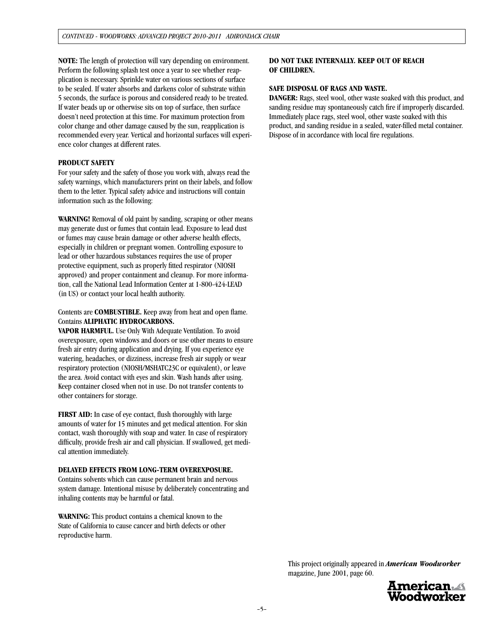**NOTE:** The length of protection will vary depending on environment. Perform the following splash test once a year to see whether reapplication is necessary. Sprinkle water on various sections of surface to be sealed. If water absorbs and darkens color of substrate within 5 seconds, the surface is porous and considered ready to be treated. If water beads up or otherwise sits on top of surface, then surface doesn't need protection at this time. For maximum protection from color change and other damage caused by the sun, reapplication is recommended every year. Vertical and horizontal surfaces will experience color changes at different rates.

### **PRODUCT SAFETY**

For your safety and the safety of those you work with, always read the safety warnings, which manufacturers print on their labels, and follow them to the letter. Typical safety advice and instructions will contain information such as the following:

**WARNING!** Removal of old paint by sanding, scraping or other means may generate dust or fumes that contain lead. Exposure to lead dust or fumes may cause brain damage or other adverse health effects, especially in children or pregnant women. Controlling exposure to lead or other hazardous substances requires the use of proper protective equipment, such as properly fitted respirator (NIOSH approved) and proper containment and cleanup. For more information, call the National Lead Information Center at 1-800-424-LEAD (in US) or contact your local health authority.

Contents are **COMBUSTIBLE.** Keep away from heat and open flame. Contains **ALIPHATIC HYDROCARBONS.**

**VAPOR HARMFUL.** Use Only With Adequate Ventilation. To avoid overexposure, open windows and doors or use other means to ensure fresh air entry during application and drying. If you experience eye watering, headaches, or dizziness, increase fresh air supply or wear respiratory protection (NIOSH/MSHATC23C or equivalent), or leave the area. Avoid contact with eyes and skin. Wash hands after using. Keep container closed when not in use. Do not transfer contents to other containers for storage.

**FIRST AID:** In case of eye contact, flush thoroughly with large amounts of water for 15 minutes and get medical attention. For skin contact, wash thoroughly with soap and water. In case of respiratory difficulty, provide fresh air and call physician. If swallowed, get medical attention immediately.

#### **DELAYED EFFECTS FROM LONG-TERM OVEREXPOSURE.**

Contains solvents which can cause permanent brain and nervous system damage. Intentional misuse by deliberately concentrating and inhaling contents may be harmful or fatal.

**WARNING:** This product contains a chemical known to the State of California to cause cancer and birth defects or other reproductive harm.

### **DO NOT TAKE INTERNALLY. KEEP OUT OF REACH OF CHILDREN.**

### **SAFE DISPOSAL OF RAGS AND WASTE.**

**DANGER:** Rags, steel wool, other waste soaked with this product, and sanding residue may spontaneously catch fire if improperly discarded. Immediately place rags, steel wool, other waste soaked with this product, and sanding residue in a sealed, water-filled metal container. Dispose of in accordance with local fire regulations.

This project originally appeared in *American Woodworker*  magazine, June 2001, page 60.

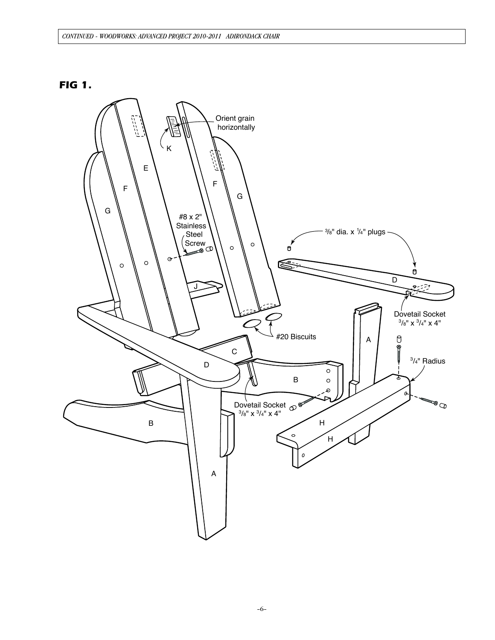## *FIG 1.*

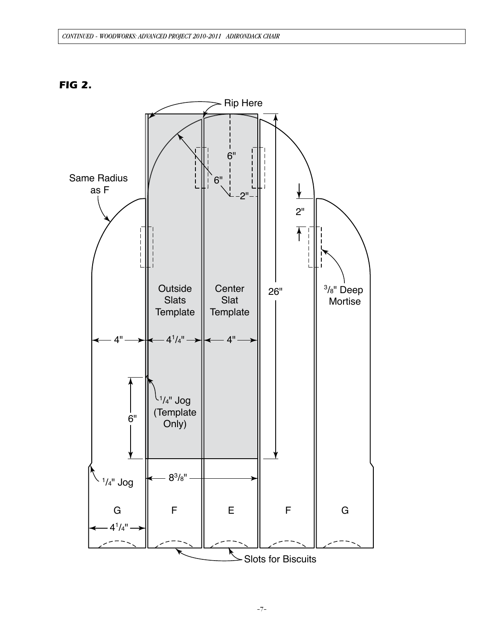

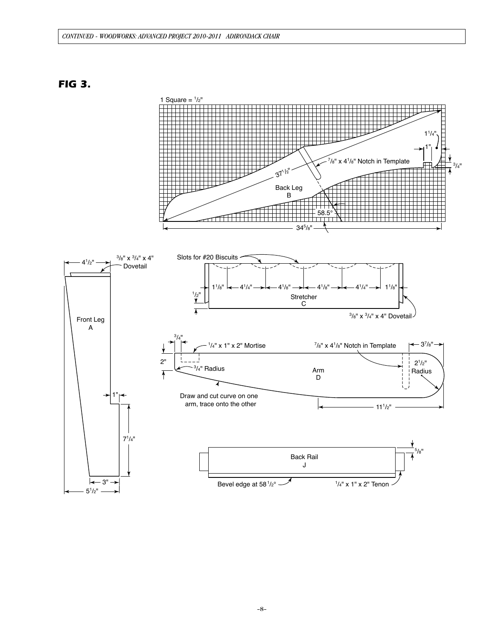### *CONTINUED - WOODWORKS: advanced project 2010-2011 adirondack chair*

*FIG 3.*